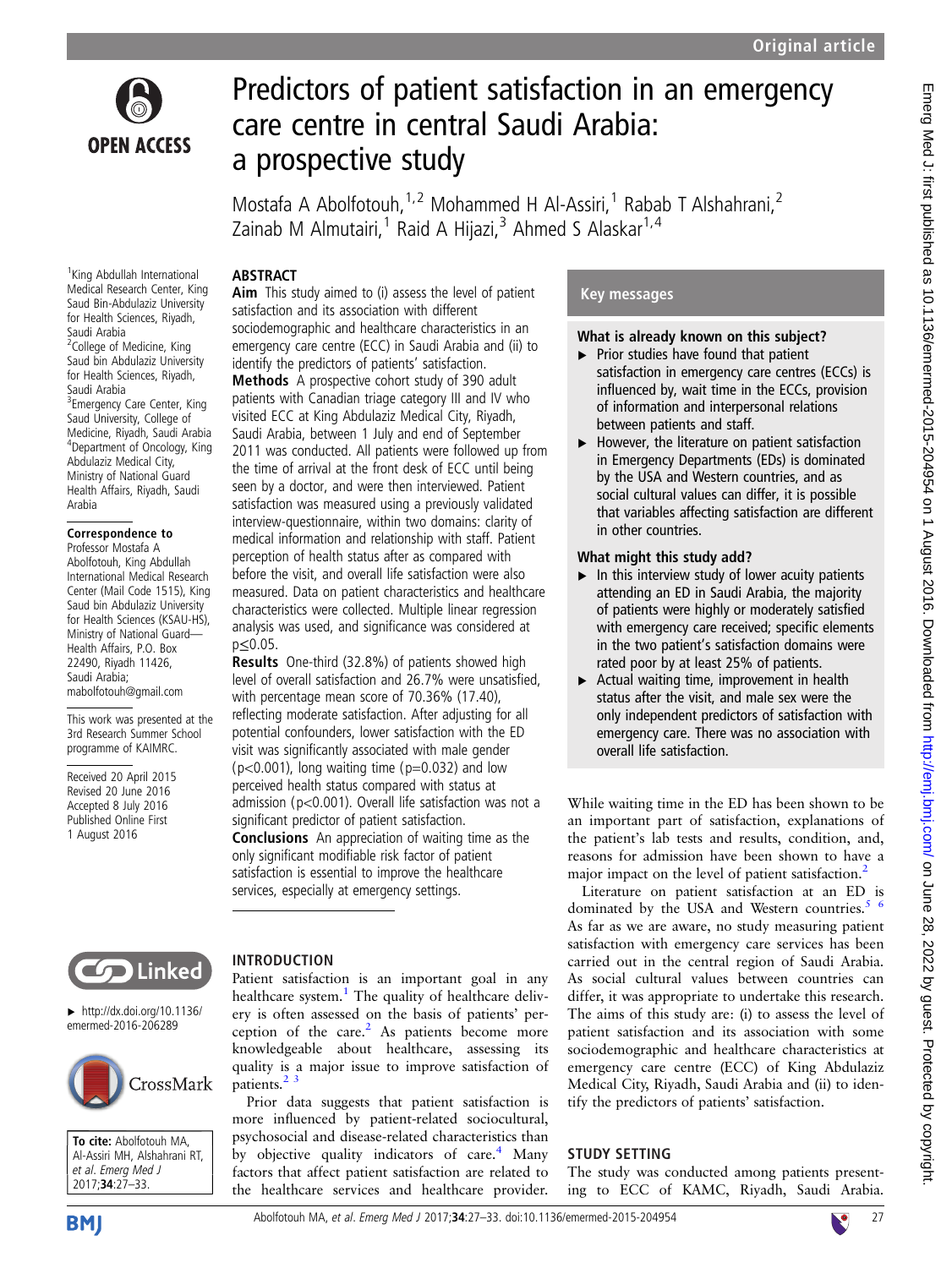

1 King Abdullah International

## Predictors of patient satisfaction in an emergency care centre in central Saudi Arabia: a prospective study

Mostafa A Abolfotouh,<sup>1,2</sup> Mohammed H Al-Assiri,<sup>1</sup> Rabab T Alshahrani,<sup>2</sup> Zainab M Almutairi,<sup>1</sup> Raid A Hijazi,<sup>3</sup> Ahmed S Alaskar<sup>1,4</sup>

#### ABSTRACT

Medical Research Center, King Saud Bin-Abdulaziz University for Health Sciences, Riyadh, Saudi Arabia 2 College of Medicine, King Saud bin Abdulaziz University for Health Sciences, Riyadh, Saudi Arabia <sup>3</sup> Emergency Care Center, King Saud University, College of Medicine, Riyadh, Saudi Arabia 4 Department of Oncology, King Abdulaziz Medical City, Ministry of National Guard Health Affairs, Riyadh, Saudi Arabia

## Correspondence to

Professor Mostafa A Abolfotouh, King Abdullah International Medical Research Center (Mail Code 1515), King Saud bin Abdulaziz University for Health Sciences (KSAU-HS), Ministry of National Guard— Health Affairs, P.O. Box 22490, Riyadh 11426, Saudi Arabia; mabolfotouh@gmail.com

This work was presented at the 3rd Research Summer School programme of KAIMRC.

Received 20 April 2015 Revised 20 June 2016 Accepted 8 July 2016 Published Online First 1 August 2016

#### Aim This study aimed to (i) assess the level of patient satisfaction and its association with different sociodemographic and healthcare characteristics in an emergency care centre (ECC) in Saudi Arabia and (ii) to

identify the predictors of patients' satisfaction. Methods A prospective cohort study of 390 adult patients with Canadian triage category III and IV who visited ECC at King Abdulaziz Medical City, Riyadh, Saudi Arabia, between 1 July and end of September 2011 was conducted. All patients were followed up from the time of arrival at the front desk of ECC until being seen by a doctor, and were then interviewed. Patient satisfaction was measured using a previously validated interview-questionnaire, within two domains: clarity of medical information and relationship with staff. Patient perception of health status after as compared with before the visit, and overall life satisfaction were also measured. Data on patient characteristics and healthcare characteristics were collected. Multiple linear regression analysis was used, and significance was considered at p≤0.05.

Results One-third (32.8%) of patients showed high level of overall satisfaction and 26.7% were unsatisfied, with percentage mean score of 70.36% (17.40), reflecting moderate satisfaction. After adjusting for all potential confounders, lower satisfaction with the ED visit was significantly associated with male gender  $(p<0.001)$ , long waiting time ( $p=0.032$ ) and low perceived health status compared with status at admission (p<0.001). Overall life satisfaction was not a significant predictor of patient satisfaction. Conclusions An appreciation of waiting time as the

only significant modifiable risk factor of patient satisfaction is essential to improve the healthcare services, especially at emergency settings.

Patient satisfaction is an important goal in any healthcare system.<sup>[1](#page-6-0)</sup> The quality of healthcare delivery is often assessed on the basis of patients' per-ception of the care.<sup>[2](#page-6-0)</sup> As patients become more knowledgeable about healthcare, assessing its quality is a major issue to improve satisfaction of

Prior data suggests that patient satisfaction is more influenced by patient-related sociocultural, psychosocial and disease-related characteristics than by objective quality indicators of care. $4$  Many factors that affect patient satisfaction are related to the healthcare services and healthcare provider.

INTRODUCTION

patients.<sup>2</sup>

# Linked

 $\blacktriangleright$  [http://dx.doi.org/10.1136/](http://dx.doi.org/10.1136/emermed-2016-206289) [emermed-2016-206289](http://dx.doi.org/10.1136/emermed-2016-206289)



To cite: Abolfotouh MA, Al-Assiri MH, Alshahrani RT, et al. Emerg Med J 2017;34:27–33.

## Key messages

## What is already known on this subject?

- ▸ Prior studies have found that patient satisfaction in emergency care centres (ECCs) is influenced by, wait time in the ECCs, provision of information and interpersonal relations between patients and staff.
- $\blacktriangleright$  However, the literature on patient satisfaction in Emergency Departments (EDs) is dominated by the USA and Western countries, and as social cultural values can differ, it is possible that variables affecting satisfaction are different in other countries.

#### What might this study add?

- $\blacktriangleright$  In this interview study of lower acuity patients attending an ED in Saudi Arabia, the majority of patients were highly or moderately satisfied with emergency care received; specific elements in the two patient's satisfaction domains were rated poor by at least 25% of patients.
- $\triangleright$  Actual waiting time, improvement in health status after the visit, and male sex were the only independent predictors of satisfaction with emergency care. There was no association with overall life satisfaction.

While waiting time in the ED has been shown to be an important part of satisfaction, explanations of the patient's lab tests and results, condition, and, reasons for admission have been shown to have a major impact on the level of patient satisfaction.<sup>[2](#page-6-0)</sup>

Literature on patient satisfaction at an ED is dominated by the USA and Western countries.<sup>5 6</sup> As far as we are aware, no study measuring patient satisfaction with emergency care services has been carried out in the central region of Saudi Arabia. As social cultural values between countries can differ, it was appropriate to undertake this research. The aims of this study are: (i) to assess the level of patient satisfaction and its association with some sociodemographic and healthcare characteristics at emergency care centre (ECC) of King Abdulaziz Medical City, Riyadh, Saudi Arabia and (ii) to identify the predictors of patients' satisfaction.

## STUDY SETTING

The study was conducted among patients presenting to ECC of KAMC, Riyadh, Saudi Arabia.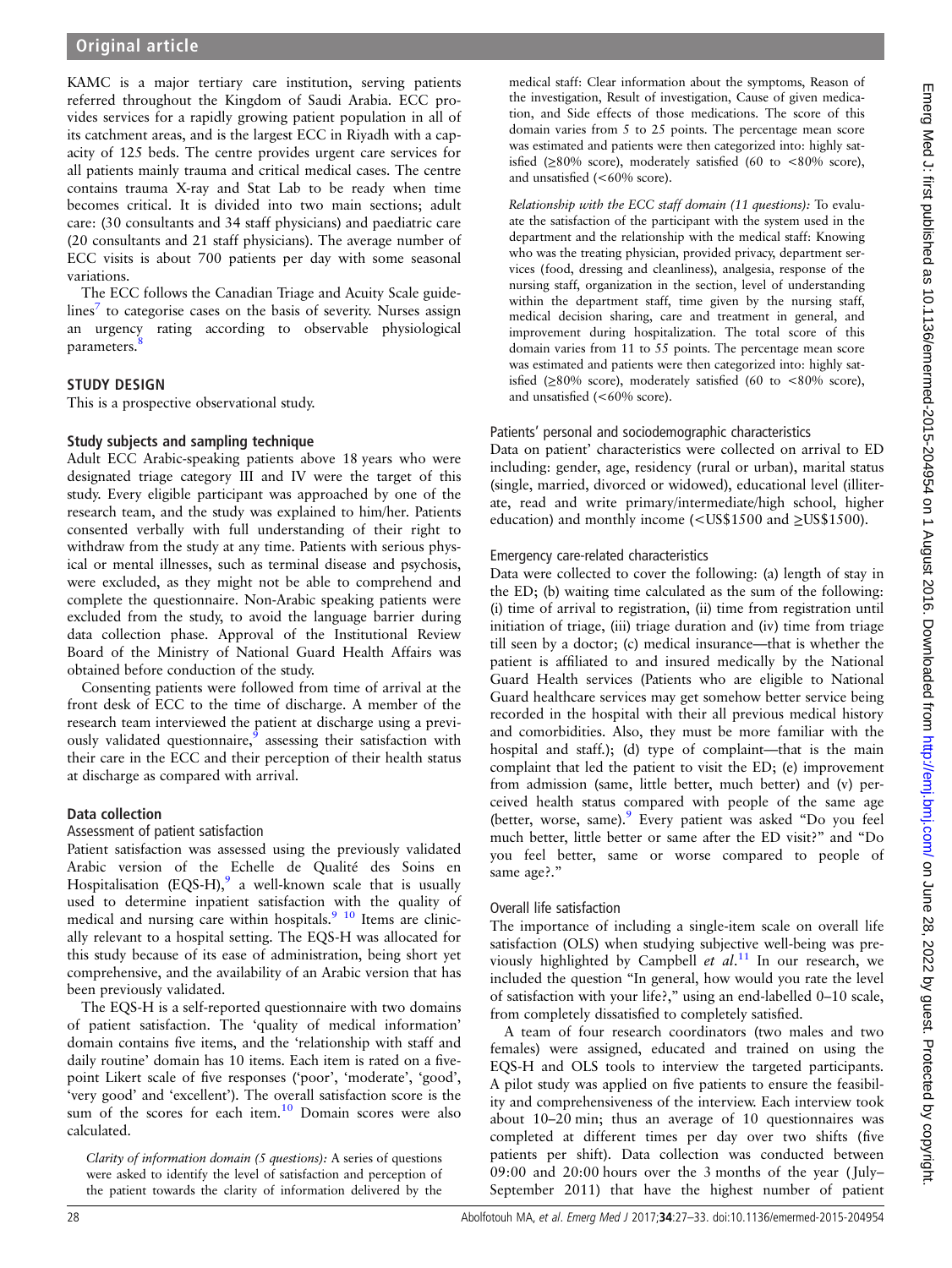KAMC is a major tertiary care institution, serving patients referred throughout the Kingdom of Saudi Arabia. ECC provides services for a rapidly growing patient population in all of its catchment areas, and is the largest ECC in Riyadh with a capacity of 125 beds. The centre provides urgent care services for all patients mainly trauma and critical medical cases. The centre contains trauma X-ray and Stat Lab to be ready when time becomes critical. It is divided into two main sections; adult care: (30 consultants and 34 staff physicians) and paediatric care (20 consultants and 21 staff physicians). The average number of ECC visits is about 700 patients per day with some seasonal variations.

The ECC follows the Canadian Triage and Acuity Scale guide-lines<sup>[7](#page-6-0)</sup> to categorise cases on the basis of severity. Nurses assign an urgency rating according to observable physiological parameters.

#### STUDY DESIGN

This is a prospective observational study.

#### Study subjects and sampling technique

Adult ECC Arabic-speaking patients above 18 years who were designated triage category III and IV were the target of this study. Every eligible participant was approached by one of the research team, and the study was explained to him/her. Patients consented verbally with full understanding of their right to withdraw from the study at any time. Patients with serious physical or mental illnesses, such as terminal disease and psychosis, were excluded, as they might not be able to comprehend and complete the questionnaire. Non-Arabic speaking patients were excluded from the study, to avoid the language barrier during data collection phase. Approval of the Institutional Review Board of the Ministry of National Guard Health Affairs was obtained before conduction of the study.

Consenting patients were followed from time of arrival at the front desk of ECC to the time of discharge. A member of the research team interviewed the patient at discharge using a previ-ously validated questionnaire,<sup>[9](#page-6-0)</sup> assessing their satisfaction with their care in the ECC and their perception of their health status at discharge as compared with arrival.

#### Data collection

Assessment of patient satisfaction

Patient satisfaction was assessed using the previously validated Arabic version of the Echelle de Qualité des Soins en Hospitalisation  $(EQS-H)$ , a well-known scale that is usually used to determine inpatient satisfaction with the quality of medical and nursing care within hospitals.<sup>[9 10](#page-6-0)</sup> Items are clinically relevant to a hospital setting. The EQS-H was allocated for this study because of its ease of administration, being short yet comprehensive, and the availability of an Arabic version that has been previously validated.

The EQS-H is a self-reported questionnaire with two domains of patient satisfaction. The 'quality of medical information' domain contains five items, and the 'relationship with staff and daily routine' domain has 10 items. Each item is rated on a fivepoint Likert scale of five responses ('poor', 'moderate', 'good', 'very good' and 'excellent'). The overall satisfaction score is the sum of the scores for each item.<sup>[10](#page-6-0)</sup> Domain scores were also calculated.

Clarity of information domain (5 questions): A series of questions were asked to identify the level of satisfaction and perception of the patient towards the clarity of information delivered by the

medical staff: Clear information about the symptoms, Reason of the investigation, Result of investigation, Cause of given medication, and Side effects of those medications. The score of this domain varies from 5 to 25 points. The percentage mean score was estimated and patients were then categorized into: highly satisfied ( $\geq$ 80% score), moderately satisfied (60 to <80% score), and unsatisfied (<60% score).

Relationship with the ECC staff domain (11 questions): To evaluate the satisfaction of the participant with the system used in the department and the relationship with the medical staff: Knowing who was the treating physician, provided privacy, department services (food, dressing and cleanliness), analgesia, response of the nursing staff, organization in the section, level of understanding within the department staff, time given by the nursing staff, medical decision sharing, care and treatment in general, and improvement during hospitalization. The total score of this domain varies from 11 to 55 points. The percentage mean score was estimated and patients were then categorized into: highly satisfied ( $\geq 80\%$  score), moderately satisfied (60 to <80% score), and unsatisfied (<60% score).

## Patients' personal and sociodemographic characteristics

Data on patient' characteristics were collected on arrival to ED including: gender, age, residency (rural or urban), marital status (single, married, divorced or widowed), educational level (illiterate, read and write primary/intermediate/high school, higher education) and monthly income (<US\$1500 and ≥US\$1500).

#### Emergency care-related characteristics

Data were collected to cover the following: (a) length of stay in the ED; (b) waiting time calculated as the sum of the following: (i) time of arrival to registration, (ii) time from registration until initiation of triage, (iii) triage duration and (iv) time from triage till seen by a doctor; (c) medical insurance—that is whether the patient is affiliated to and insured medically by the National Guard Health services (Patients who are eligible to National Guard healthcare services may get somehow better service being recorded in the hospital with their all previous medical history and comorbidities. Also, they must be more familiar with the hospital and staff.); (d) type of complaint—that is the main complaint that led the patient to visit the ED; (e) improvement from admission (same, little better, much better) and (v) perceived health status compared with people of the same age (better, worse, same).<sup>[9](#page-6-0)</sup> Every patient was asked "Do you feel much better, little better or same after the ED visit?" and "Do you feel better, same or worse compared to people of same age?."

#### Overall life satisfaction

The importance of including a single-item scale on overall life satisfaction (OLS) when studying subjective well-being was previously highlighted by Campbell et  $al$ .<sup>[11](#page-6-0)</sup> In our research, we included the question "In general, how would you rate the level of satisfaction with your life?," using an end-labelled 0–10 scale, from completely dissatisfied to completely satisfied.

A team of four research coordinators (two males and two females) were assigned, educated and trained on using the EQS-H and OLS tools to interview the targeted participants. A pilot study was applied on five patients to ensure the feasibility and comprehensiveness of the interview. Each interview took about 10–20 min; thus an average of 10 questionnaires was completed at different times per day over two shifts (five patients per shift). Data collection was conducted between 09:00 and 20:00 hours over the 3 months of the year (July– September 2011) that have the highest number of patient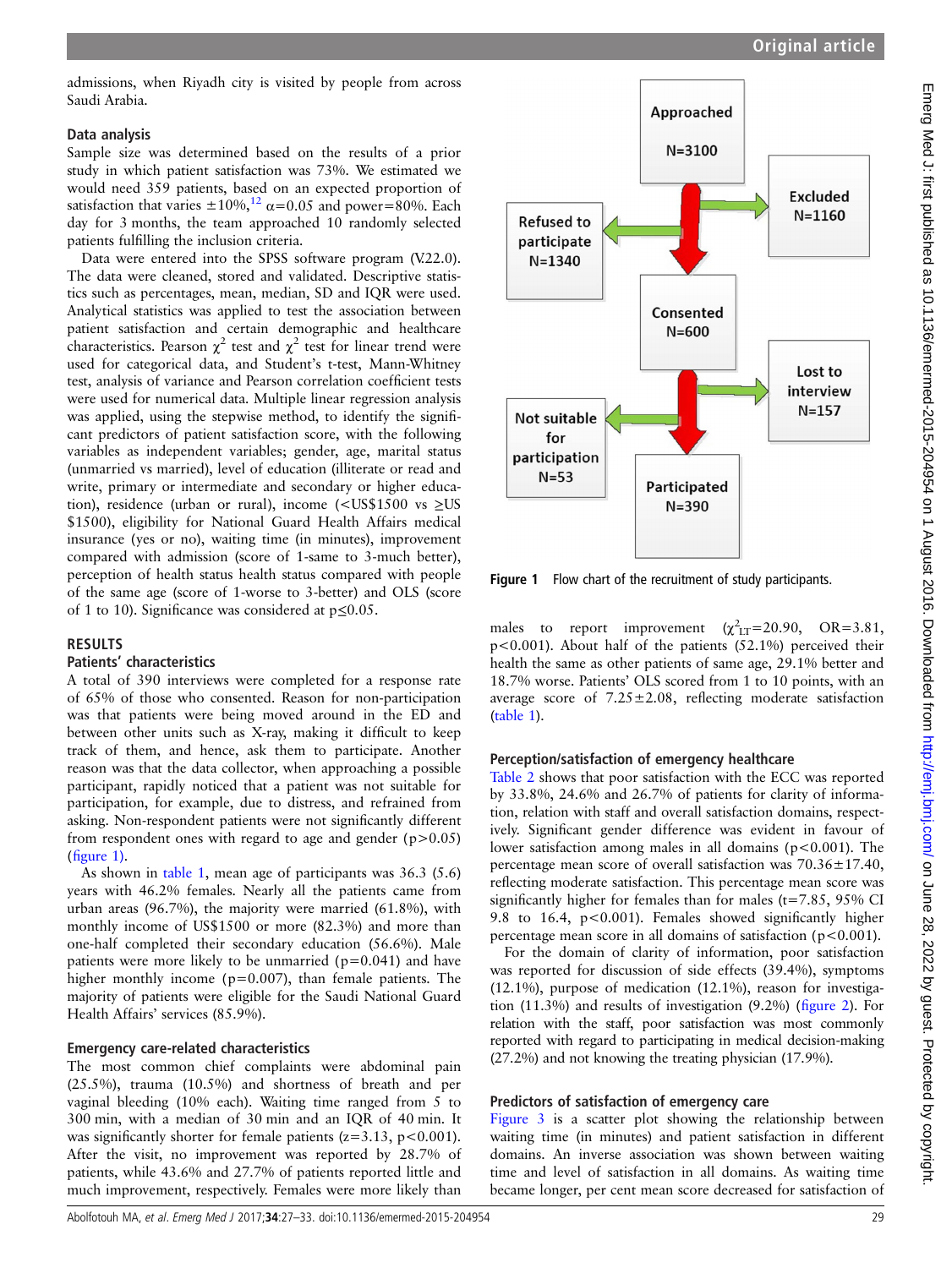admissions, when Riyadh city is visited by people from across Saudi Arabia.

## Data analysis

Sample size was determined based on the results of a prior study in which patient satisfaction was 73%. We estimated we would need 359 patients, based on an expected proportion of satisfaction that varies  $\pm 10\%,^{12} \alpha = 0.05$  and power=80%. Each day for 3 months, the team approached 10 randomly selected patients fulfilling the inclusion criteria.

Data were entered into the SPSS software program (V.22.0). The data were cleaned, stored and validated. Descriptive statistics such as percentages, mean, median, SD and IQR were used. Analytical statistics was applied to test the association between patient satisfaction and certain demographic and healthcare characteristics. Pearson  $\chi^2$  test and  $\chi^2$  test for linear trend were used for categorical data, and Student's t-test, Mann-Whitney test, analysis of variance and Pearson correlation coefficient tests were used for numerical data. Multiple linear regression analysis was applied, using the stepwise method, to identify the significant predictors of patient satisfaction score, with the following variables as independent variables; gender, age, marital status (unmarried vs married), level of education (illiterate or read and write, primary or intermediate and secondary or higher education), residence (urban or rural), income (<US\$1500 vs ≥US \$1500), eligibility for National Guard Health Affairs medical insurance (yes or no), waiting time (in minutes), improvement compared with admission (score of 1-same to 3-much better), perception of health status health status compared with people of the same age (score of 1-worse to 3-better) and OLS (score of 1 to 10). Significance was considered at p≤0.05.

## RESULTS

#### Patients' characteristics

A total of 390 interviews were completed for a response rate of 65% of those who consented. Reason for non-participation was that patients were being moved around in the ED and between other units such as X-ray, making it difficult to keep track of them, and hence, ask them to participate. Another reason was that the data collector, when approaching a possible participant, rapidly noticed that a patient was not suitable for participation, for example, due to distress, and refrained from asking. Non-respondent patients were not significantly different from respondent ones with regard to age and gender  $(p>0.05)$ (figure 1).

As shown in [table 1,](#page-3-0) mean age of participants was 36.3 (5.6) years with 46.2% females. Nearly all the patients came from urban areas (96.7%), the majority were married (61.8%), with monthly income of US\$1500 or more (82.3%) and more than one-half completed their secondary education (56.6%). Male patients were more likely to be unmarried  $(p=0.041)$  and have higher monthly income (p=0.007), than female patients. The majority of patients were eligible for the Saudi National Guard Health Affairs' services (85.9%).

#### Emergency care-related characteristics

The most common chief complaints were abdominal pain (25.5%), trauma (10.5%) and shortness of breath and per vaginal bleeding (10% each). Waiting time ranged from 5 to 300 min, with a median of 30 min and an IQR of 40 min. It was significantly shorter for female patients  $(z=3.13, p<0.001)$ . After the visit, no improvement was reported by 28.7% of patients, while 43.6% and 27.7% of patients reported little and much improvement, respectively. Females were more likely than



Figure 1 Flow chart of the recruitment of study participants.

males to report improvement  $(\chi^2_{LT} = 20.90, \text{ OR} = 3.81,$ p<0.001). About half of the patients (52.1%) perceived their health the same as other patients of same age, 29.1% better and 18.7% worse. Patients' OLS scored from 1 to 10 points, with an average score of  $7.25 \pm 2.08$ , reflecting moderate satisfaction ([table 1](#page-3-0)).

## Perception/satisfaction of emergency healthcare

[Table 2](#page-4-0) shows that poor satisfaction with the ECC was reported by 33.8%, 24.6% and 26.7% of patients for clarity of information, relation with staff and overall satisfaction domains, respectively. Significant gender difference was evident in favour of lower satisfaction among males in all domains ( $p < 0.001$ ). The percentage mean score of overall satisfaction was  $70.36 \pm 17.40$ , reflecting moderate satisfaction. This percentage mean score was significantly higher for females than for males ( $t=7.85$ , 95% CI 9.8 to 16.4, p<0.001). Females showed significantly higher percentage mean score in all domains of satisfaction  $(p<0.001)$ .

For the domain of clarity of information, poor satisfaction was reported for discussion of side effects (39.4%), symptoms (12.1%), purpose of medication (12.1%), reason for investigation (11.3%) and results of investigation (9.2%) (fi[gure 2\)](#page-4-0). For relation with the staff, poor satisfaction was most commonly reported with regard to participating in medical decision-making (27.2%) and not knowing the treating physician (17.9%).

#### Predictors of satisfaction of emergency care

[Figure 3](#page-5-0) is a scatter plot showing the relationship between waiting time (in minutes) and patient satisfaction in different domains. An inverse association was shown between waiting time and level of satisfaction in all domains. As waiting time became longer, per cent mean score decreased for satisfaction of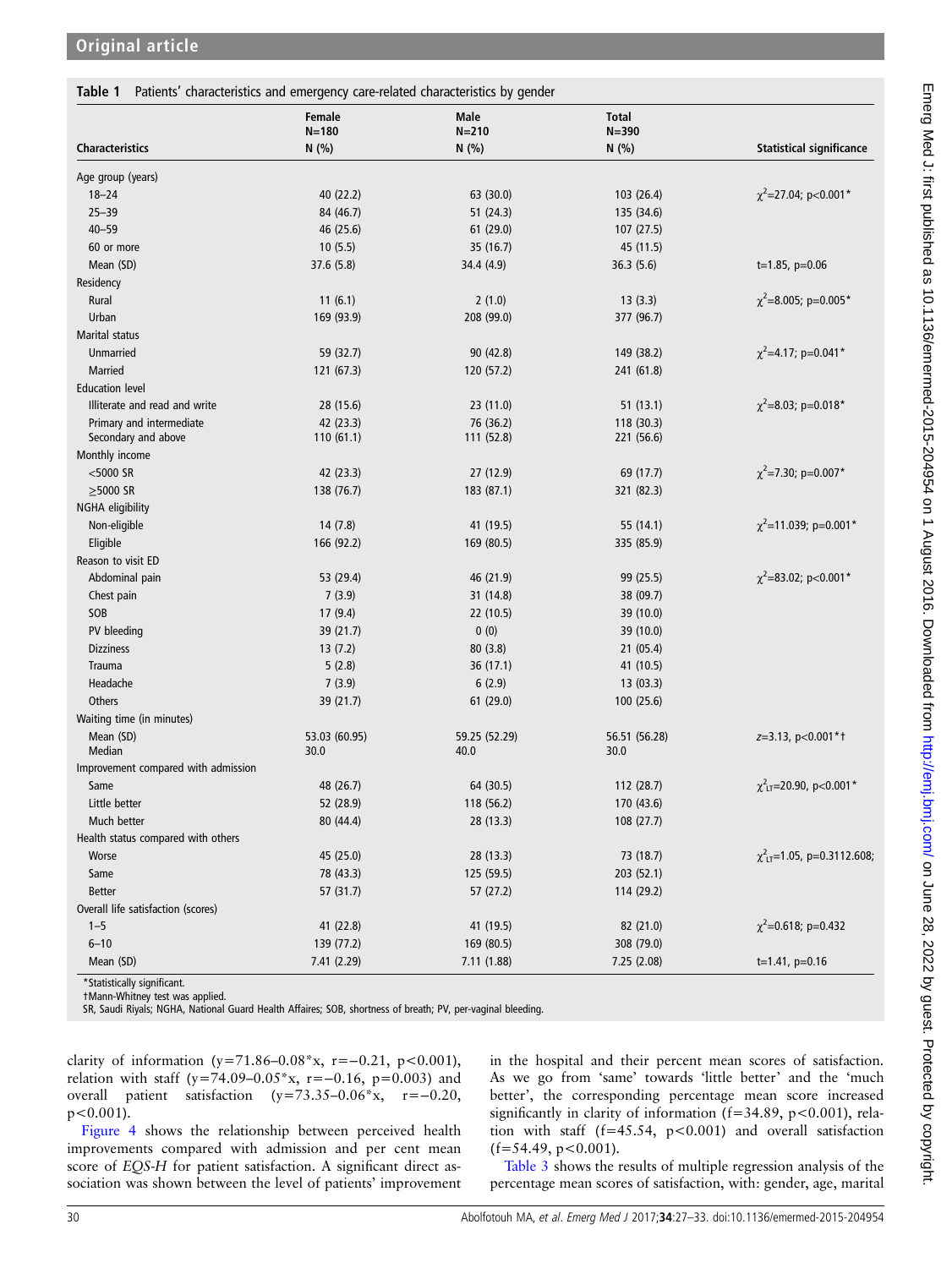## <span id="page-3-0"></span>Table 1 Patients' characteristics and emergency care-related characteristics by gender

|                                                 | <b>Female</b><br>$N = 180$ | <b>Male</b><br>$N = 210$ | <b>Total</b><br>$N = 390$ |                                   |  |  |
|-------------------------------------------------|----------------------------|--------------------------|---------------------------|-----------------------------------|--|--|
| <b>Characteristics</b>                          | N(% )                      | N (%)                    | N (%)                     | <b>Statistical significance</b>   |  |  |
| Age group (years)                               |                            |                          |                           |                                   |  |  |
| $18 - 24$                                       | 40 (22.2)                  | 63 (30.0)                | 103 (26.4)                | $\chi^2$ =27.04; p<0.001*         |  |  |
| $25 - 39$                                       | 84 (46.7)                  | 51 (24.3)                | 135 (34.6)                |                                   |  |  |
| $40 - 59$                                       | 46 (25.6)                  | 61(29.0)                 | 107 (27.5)                |                                   |  |  |
| 60 or more                                      | 10(5.5)                    | 35 (16.7)                | 45 (11.5)                 |                                   |  |  |
| Mean (SD)                                       | 37.6 (5.8)                 | 34.4 (4.9)               | 36.3(5.6)                 | $t=1.85$ , $p=0.06$               |  |  |
| Residency                                       |                            |                          |                           |                                   |  |  |
| Rural                                           | 11(6.1)                    | 2(1.0)                   | 13(3.3)                   | $\chi^2$ =8.005; p=0.005*         |  |  |
| Urban                                           | 169 (93.9)                 | 208 (99.0)               | 377 (96.7)                |                                   |  |  |
| <b>Marital status</b>                           |                            |                          |                           |                                   |  |  |
| <b>Unmarried</b>                                | 59 (32.7)                  | 90 (42.8)                | 149 (38.2)                | $\chi^2$ =4.17; p=0.041*          |  |  |
| <b>Married</b>                                  | 121 (67.3)                 | 120 (57.2)               | 241 (61.8)                |                                   |  |  |
| <b>Education level</b>                          |                            |                          |                           |                                   |  |  |
| Illiterate and read and write                   | 28 (15.6)                  | 23 (11.0)                | 51(13.1)                  | $\chi^2$ =8.03; p=0.018*          |  |  |
|                                                 | 42 (23.3)                  | 76 (36.2)                |                           |                                   |  |  |
| Primary and intermediate<br>Secondary and above | 110(61.1)                  | 111 (52.8)               | 118 (30.3)<br>221 (56.6)  |                                   |  |  |
| Monthly income                                  |                            |                          |                           |                                   |  |  |
| $<$ 5000 SR                                     | 42 (23.3)                  | 27 (12.9)                | 69 (17.7)                 | $\chi^2$ =7.30; p=0.007*          |  |  |
| $\geq$ 5000 SR                                  | 138 (76.7)                 | 183 (87.1)               | 321 (82.3)                |                                   |  |  |
| NGHA eligibility                                |                            |                          |                           |                                   |  |  |
| Non-eligible                                    | 14(7.8)                    | 41 (19.5)                | 55 (14.1)                 | $\chi^2$ =11.039; p=0.001*        |  |  |
| Eligible                                        | 166 (92.2)                 | 169 (80.5)               | 335 (85.9)                |                                   |  |  |
| Reason to visit ED                              |                            |                          |                           |                                   |  |  |
| Abdominal pain                                  | 53 (29.4)                  | 46 (21.9)                | 99 (25.5)                 | $\chi^2$ =83.02; p<0.001*         |  |  |
|                                                 | 7(3.9)                     |                          |                           |                                   |  |  |
| Chest pain<br>SOB                               | 17(9.4)                    | 31 (14.8)<br>22 (10.5)   | 38 (09.7)<br>39 (10.0)    |                                   |  |  |
|                                                 |                            |                          |                           |                                   |  |  |
| PV bleeding                                     | 39 (21.7)                  | 0(0)                     | 39 (10.0)                 |                                   |  |  |
| <b>Dizziness</b>                                | 13(7.2)                    | 80(3.8)                  | 21(05.4)                  |                                   |  |  |
| Trauma                                          | 5(2.8)                     | 36 (17.1)                | 41 (10.5)                 |                                   |  |  |
| Headache                                        | 7(3.9)                     | 6(2.9)                   | 13(03.3)                  |                                   |  |  |
| Others                                          | 39 (21.7)                  | 61(29.0)                 | 100(25.6)                 |                                   |  |  |
| Waiting time (in minutes)                       |                            |                          |                           |                                   |  |  |
| Mean (SD)<br>Median                             | 53.03 (60.95)<br>30.0      | 59.25 (52.29)<br>40.0    | 56.51 (56.28)<br>30.0     | $z=3.13$ , p<0.001*1              |  |  |
| Improvement compared with admission             |                            |                          |                           |                                   |  |  |
| Same                                            | 48 (26.7)                  | 64 (30.5)                | 112 (28.7)                | $\chi^2_{LT}$ =20.90, p<0.001*    |  |  |
| Little better                                   | 52 (28.9)                  | 118 (56.2)               | 170 (43.6)                |                                   |  |  |
|                                                 |                            |                          |                           |                                   |  |  |
| Much better                                     | 80 (44.4)                  | 28 (13.3)                | 108 (27.7)                |                                   |  |  |
| Health status compared with others              |                            |                          |                           |                                   |  |  |
| Worse                                           | 45 (25.0)                  | 28 (13.3)                | 73 (18.7)                 | $\chi^2_{LI}$ =1.05, p=0.3112.608 |  |  |
| Same                                            | 78 (43.3)                  | 125 (59.5)               | 203 (52.1)                |                                   |  |  |
| <b>Better</b>                                   | 57 (31.7)                  | 57 (27.2)                | 114 (29.2)                |                                   |  |  |
| Overall life satisfaction (scores)              |                            |                          |                           |                                   |  |  |
| $1 - 5$                                         | 41 (22.8)                  | 41 (19.5)                | 82 (21.0)                 | $\chi^2$ =0.618; p=0.432          |  |  |
| $6 - 10$                                        | 139 (77.2)                 | 169 (80.5)               | 308 (79.0)                |                                   |  |  |
| Mean (SD)                                       | 7.41 (2.29)                | 7.11 (1.88)              | 7.25 (2.08)               | $t=1.41$ , p=0.16                 |  |  |
| *Statistically significant.                     |                            |                          |                           |                                   |  |  |

\*Statistically significant. †Mann-Whitney test was applied.

SR, Saudi Riyals; NGHA, National Guard Health Affaires; SOB, shortness of breath; PV, per-vaginal bleeding.

clarity of information (y=71.86–0.08\*x, r=−0.21, p<0.001), relation with staff (y=74.09–0.05\*x, r=−0.16, p=0.003) and overall patient satisfaction (y=73.35–0.06\*x, r=−0.20, p<0.001).

[Figure 4](#page-5-0) shows the relationship between perceived health improvements compared with admission and per cent mean score of EQS-H for patient satisfaction. A significant direct association was shown between the level of patients' improvement in the hospital and their percent mean scores of satisfaction. As we go from 'same' towards 'little better' and the 'much better', the corresponding percentage mean score increased significantly in clarity of information ( $f=34.89$ ,  $p<0.001$ ), relation with staff ( $f=45.54$ ,  $p<0.001$ ) and overall satisfaction  $(f=54.49, p<0.001)$ .

[Table 3](#page-6-0) shows the results of multiple regression analysis of the percentage mean scores of satisfaction, with: gender, age, marital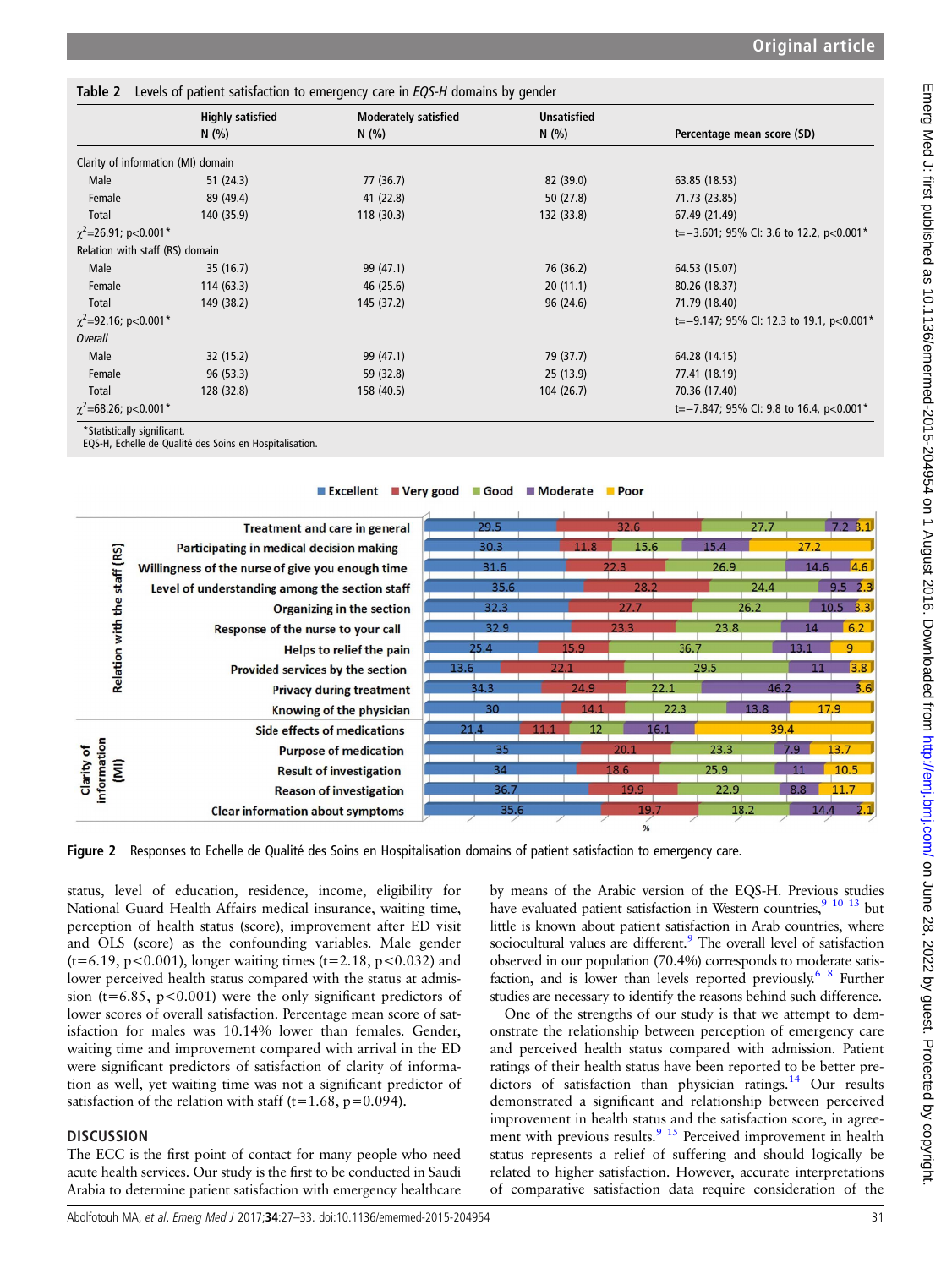<span id="page-4-0"></span>

|                                    | <b>Highly satisfied</b> | <b>Moderately satisfied</b> | <b>Unsatisfied</b> |                                                         |
|------------------------------------|-------------------------|-----------------------------|--------------------|---------------------------------------------------------|
|                                    | N(%)                    | N(%)                        | N(%)               | Percentage mean score (SD)                              |
| Clarity of information (MI) domain |                         |                             |                    |                                                         |
| Male                               | 51(24.3)                | 77 (36.7)                   | 82 (39.0)          | 63.85 (18.53)                                           |
| Female                             | 89 (49.4)               | 41 (22.8)                   | 50 (27.8)          | 71.73 (23.85)                                           |
| Total                              | 140 (35.9)              | 118 (30.3)                  | 132 (33.8)         | 67.49 (21.49)                                           |
| $\chi^2$ =26.91; p<0.001*          |                         |                             |                    | $t=-3.601$ ; 95% CI: 3.6 to 12.2, p<0.001 <sup>*</sup>  |
| Relation with staff (RS) domain    |                         |                             |                    |                                                         |
| Male                               | 35(16.7)                | 99 (47.1)                   | 76 (36.2)          | 64.53 (15.07)                                           |
| Female                             | 114(63.3)               | 46 (25.6)                   | 20(11.1)           | 80.26 (18.37)                                           |
| Total                              | 149 (38.2)              | 145 (37.2)                  | 96 (24.6)          | 71.79 (18.40)                                           |
| $\chi^2$ =92.16; p<0.001*          |                         |                             |                    | $t=-9.147$ ; 95% CI: 12.3 to 19.1, p<0.001 <sup>*</sup> |
| Overall                            |                         |                             |                    |                                                         |
| Male                               | 32(15.2)                | 99 (47.1)                   | 79 (37.7)          | 64.28 (14.15)                                           |
| Female                             | 96(53.3)                | 59 (32.8)                   | 25(13.9)           | 77.41 (18.19)                                           |
| Total                              | 128 (32.8)              | 158 (40.5)                  | 104(26.7)          | 70.36 (17.40)                                           |
| $\chi^2$ =68.26; p<0.001*          |                         |                             |                    | $t=-7.847$ ; 95% CI: 9.8 to 16.4, p<0.001*              |

\*Statistically significant.

EQS-H, Echelle de Qualité des Soins en Hospitalisation.

| Relation with the staff (RS)                                 | <b>Treatment and care in general</b>             | 29.5 |      |      | 32.6 |      |      | 27.7 |      | 7.23.1         |  |
|--------------------------------------------------------------|--------------------------------------------------|------|------|------|------|------|------|------|------|----------------|--|
|                                                              | Participating in medical decision making         | 30.3 | 11.8 |      | 15.6 |      | 15.4 |      | 27.2 |                |  |
|                                                              | Willingness of the nurse of give you enough time | 31.6 |      |      | 22.3 |      | 26.9 |      | 14.6 | 4.6            |  |
|                                                              | Level of understanding among the section staff   | 35.6 |      |      | 28.2 |      |      | 24.4 |      | $9.5\quad 2.3$ |  |
|                                                              | Organizing in the section                        | 32.3 |      |      | 27.7 |      |      | 26.2 |      | $10.5$ $3.3$   |  |
|                                                              | Response of the nurse to your call               | 32.9 |      |      | 23.3 |      | 23.8 |      | 14   | 6.2            |  |
|                                                              | Helps to relief the pain                         | 25.4 |      | 15.9 |      | 36.7 |      |      | 13.1 | 9              |  |
|                                                              | Provided services by the section                 | 13.6 | 22.1 |      |      |      | 29.5 |      | 11   | 3.8            |  |
|                                                              | <b>Privacy during treatment</b>                  | 34.3 |      | 24.9 |      | 22.1 |      | 46.2 |      | 3.6            |  |
|                                                              | Knowing of the physician                         | 30   |      | 14.1 |      | 22.3 |      | 13.8 |      | 17.9           |  |
| information<br>Clarity of<br>$\widehat{\overline{\epsilon}}$ | Side effects of medications                      | 21.4 | 111  | 12   |      | 16.1 |      | 39.4 |      |                |  |
|                                                              | <b>Purpose of medication</b>                     | 35   |      |      | 20.1 |      | 23.3 |      | 7.9  | 13.7           |  |
|                                                              | <b>Result of investigation</b>                   | 34   |      |      | 18.6 |      | 25.9 |      | 11   | 10.5           |  |
|                                                              | <b>Reason of investigation</b>                   | 36.7 |      | 19.9 |      |      | 22.9 |      | 8.8  | 11.7           |  |
|                                                              | <b>Clear information about symptoms</b>          | 35.6 |      |      | 19.7 |      |      | 18.2 | 14.4 | 2.1            |  |
|                                                              |                                                  |      |      |      |      |      |      |      |      |                |  |

■ Excellent ■ Very good ■ Good ■ Moderate ■ Poor

Figure 2 Responses to Echelle de Qualité des Soins en Hospitalisation domains of patient satisfaction to emergency care.

status, level of education, residence, income, eligibility for National Guard Health Affairs medical insurance, waiting time, perception of health status (score), improvement after ED visit and OLS (score) as the confounding variables. Male gender ( $t=6.19$ ,  $p<0.001$ ), longer waiting times ( $t=2.18$ ,  $p<0.032$ ) and lower perceived health status compared with the status at admission ( $t=6.85$ ,  $p<0.001$ ) were the only significant predictors of lower scores of overall satisfaction. Percentage mean score of satisfaction for males was 10.14% lower than females. Gender, waiting time and improvement compared with arrival in the ED were significant predictors of satisfaction of clarity of information as well, yet waiting time was not a significant predictor of satisfaction of the relation with staff (t=1.68,  $p=0.094$ ).

#### **DISCUSSION**

The ECC is the first point of contact for many people who need acute health services. Our study is the first to be conducted in Saudi Arabia to determine patient satisfaction with emergency healthcare by means of the Arabic version of the EQS-H. Previous studies have evaluated patient satisfaction in Western countries,<sup>9</sup> <sup>10</sup> <sup>13</sup> but little is known about patient satisfaction in Arab countries, where sociocultural values are different.<sup>9</sup> The overall level of satisfaction observed in our population (70.4%) corresponds to moderate satisfaction, and is lower than levels reported previously.<sup>6</sup>  $8$  Further studies are necessary to identify the reasons behind such difference.

One of the strengths of our study is that we attempt to demonstrate the relationship between perception of emergency care and perceived health status compared with admission. Patient ratings of their health status have been reported to be better pre-dictors of satisfaction than physician ratings.<sup>[14](#page-6-0)</sup> Our results demonstrated a significant and relationship between perceived improvement in health status and the satisfaction score, in agreement with previous results.<sup>9</sup> <sup>15</sup> Perceived improvement in health status represents a relief of suffering and should logically be related to higher satisfaction. However, accurate interpretations of comparative satisfaction data require consideration of the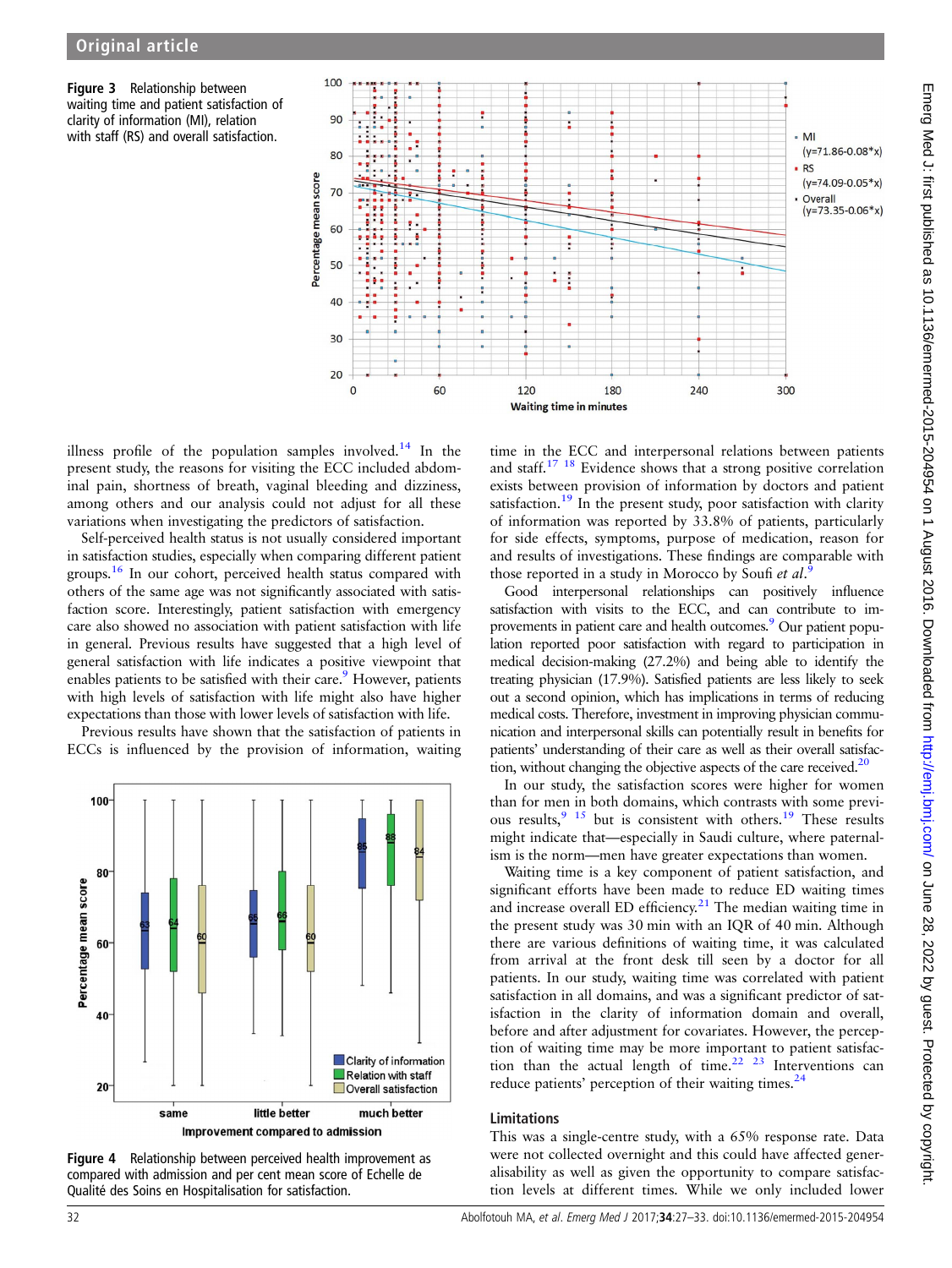<span id="page-5-0"></span>



illness profile of the population samples involved.<sup>[14](#page-6-0)</sup> In the present study, the reasons for visiting the ECC included abdominal pain, shortness of breath, vaginal bleeding and dizziness, among others and our analysis could not adjust for all these variations when investigating the predictors of satisfaction.

Self-perceived health status is not usually considered important in satisfaction studies, especially when comparing different patient groups.[16](#page-6-0) In our cohort, perceived health status compared with others of the same age was not significantly associated with satisfaction score. Interestingly, patient satisfaction with emergency care also showed no association with patient satisfaction with life in general. Previous results have suggested that a high level of general satisfaction with life indicates a positive viewpoint that enables patients to be satisfied with their care.<sup>9</sup> However, patients with high levels of satisfaction with life might also have higher expectations than those with lower levels of satisfaction with life.

Previous results have shown that the satisfaction of patients in ECCs is influenced by the provision of information, waiting



Figure 4 Relationship between perceived health improvement as compared with admission and per cent mean score of Echelle de Qualité des Soins en Hospitalisation for satisfaction.

time in the ECC and interpersonal relations between patients and staff.[17 18](#page-6-0) Evidence shows that a strong positive correlation exists between provision of information by doctors and patient satisfaction.<sup>[19](#page-6-0)</sup> In the present study, poor satisfaction with clarity of information was reported by 33.8% of patients, particularly for side effects, symptoms, purpose of medication, reason for and results of investigations. These findings are comparable with those reported in a study in Morocco by Soufi et  $al$ .<sup>[9](#page-6-0)</sup>

Good interpersonal relationships can positively influence satisfaction with visits to the ECC, and can contribute to improvements in patient care and health outcomes.<sup>9</sup> Our patient population reported poor satisfaction with regard to participation in medical decision-making (27.2%) and being able to identify the treating physician (17.9%). Satisfied patients are less likely to seek out a second opinion, which has implications in terms of reducing medical costs. Therefore, investment in improving physician communication and interpersonal skills can potentially result in benefits for patients' understanding of their care as well as their overall satisfaction, without changing the objective aspects of the care received. $20$ 

In our study, the satisfaction scores were higher for women than for men in both domains, which contrasts with some previous results, $9\frac{15}{15}$  but is consistent with others.<sup>[19](#page-6-0)</sup> These results might indicate that—especially in Saudi culture, where paternalism is the norm—men have greater expectations than women.

Waiting time is a key component of patient satisfaction, and significant efforts have been made to reduce ED waiting times and increase overall ED efficiency.<sup>[21](#page-6-0)</sup> The median waiting time in the present study was 30 min with an IQR of 40 min. Although there are various definitions of waiting time, it was calculated from arrival at the front desk till seen by a doctor for all patients. In our study, waiting time was correlated with patient satisfaction in all domains, and was a significant predictor of satisfaction in the clarity of information domain and overall, before and after adjustment for covariates. However, the perception of waiting time may be more important to patient satisfaction than the actual length of time.<sup>22 23</sup> Interventions can reduce patients' perception of their waiting times.<sup>[24](#page-6-0)</sup>

#### Limitations

This was a single-centre study, with a 65% response rate. Data were not collected overnight and this could have affected generalisability as well as given the opportunity to compare satisfaction levels at different times. While we only included lower